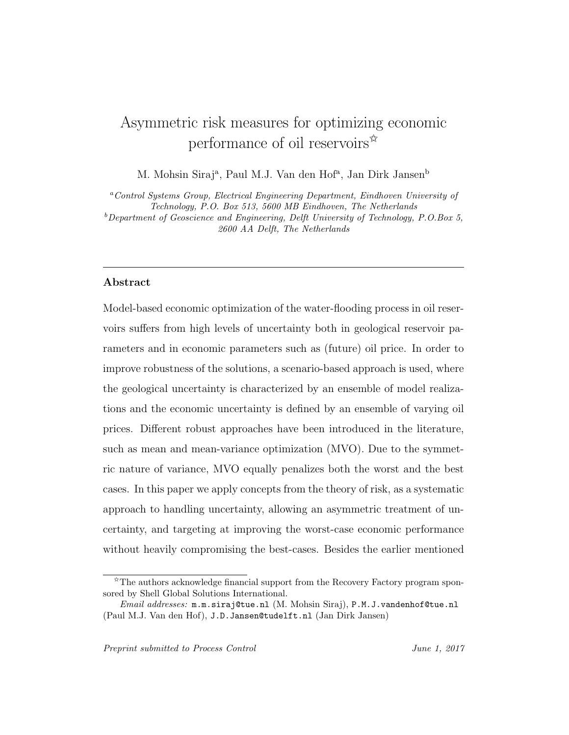# Asymmetric risk measures for optimizing economic performance of oil reservoirs $\mathbb{R}$

M. Mohsin Siraj<sup>a</sup>, Paul M.J. Van den Hof<sup>a</sup>, Jan Dirk Jansen<sup>b</sup>

<sup>a</sup>Control Systems Group, Electrical Engineering Department, Eindhoven University of Technology, P.O. Box 513, 5600 MB Eindhoven, The Netherlands  $b$  Department of Geoscience and Engineering, Delft University of Technology, P.O.Box 5, 2600 AA Delft, The Netherlands

# Abstract

Model-based economic optimization of the water-flooding process in oil reservoirs suffers from high levels of uncertainty both in geological reservoir parameters and in economic parameters such as (future) oil price. In order to improve robustness of the solutions, a scenario-based approach is used, where the geological uncertainty is characterized by an ensemble of model realizations and the economic uncertainty is defined by an ensemble of varying oil prices. Different robust approaches have been introduced in the literature, such as mean and mean-variance optimization (MVO). Due to the symmetric nature of variance, MVO equally penalizes both the worst and the best cases. In this paper we apply concepts from the theory of risk, as a systematic approach to handling uncertainty, allowing an asymmetric treatment of uncertainty, and targeting at improving the worst-case economic performance without heavily compromising the best-cases. Besides the earlier mentioned

<sup>✩</sup>The authors acknowledge financial support from the Recovery Factory program sponsored by Shell Global Solutions International.

Email addresses: m.m.siraj@tue.nl (M. Mohsin Siraj), P.M.J.vandenhof@tue.nl (Paul M.J. Van den Hof), J.D.Jansen@tudelft.nl (Jan Dirk Jansen)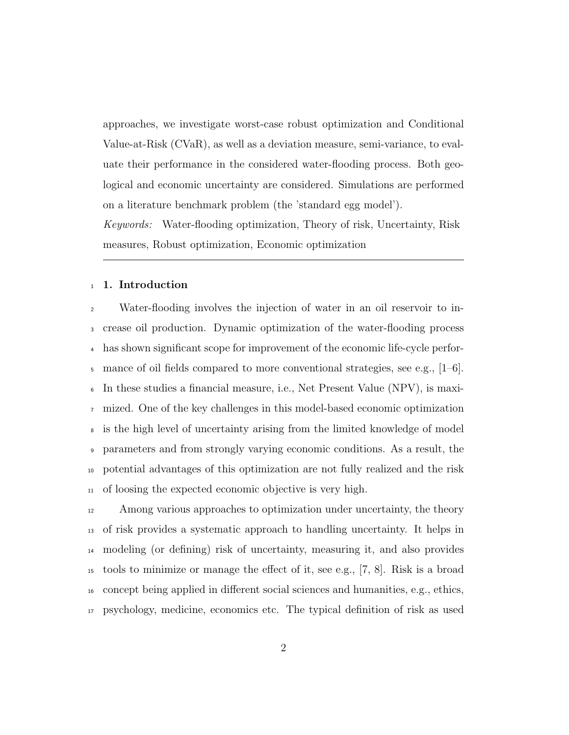approaches, we investigate worst-case robust optimization and Conditional Value-at-Risk (CVaR), as well as a deviation measure, semi-variance, to evaluate their performance in the considered water-flooding process. Both geological and economic uncertainty are considered. Simulations are performed on a literature benchmark problem (the 'standard egg model').

Keywords: Water-flooding optimization, Theory of risk, Uncertainty, Risk measures, Robust optimization, Economic optimization

#### 1. Introduction

Water-flooding involves the injection of water in an oil reservoir to in- crease oil production. Dynamic optimization of the water-flooding process has shown significant scope for improvement of the economic life-cycle perfor- $\frac{1}{5}$  mance of oil fields compared to more conventional strategies, see e.g., [1–6]. In these studies a financial measure, i.e., Net Present Value (NPV), is maxi- mized. One of the key challenges in this model-based economic optimization is the high level of uncertainty arising from the limited knowledge of model parameters and from strongly varying economic conditions. As a result, the potential advantages of this optimization are not fully realized and the risk of loosing the expected economic objective is very high.

 Among various approaches to optimization under uncertainty, the theory of risk provides a systematic approach to handling uncertainty. It helps in modeling (or defining) risk of uncertainty, measuring it, and also provides tools to minimize or manage the effect of it, see e.g., [7, 8]. Risk is a broad concept being applied in different social sciences and humanities, e.g., ethics, psychology, medicine, economics etc. The typical definition of risk as used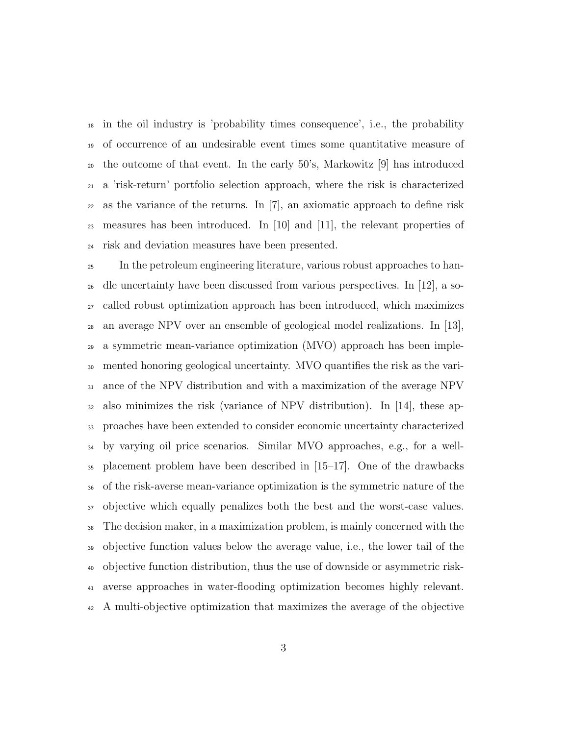in the oil industry is 'probability times consequence', i.e., the probability of occurrence of an undesirable event times some quantitative measure of the outcome of that event. In the early 50's, Markowitz [9] has introduced a 'risk-return' portfolio selection approach, where the risk is characterized as the variance of the returns. In [7], an axiomatic approach to define risk 23 measures has been introduced. In [10] and [11], the relevant properties of risk and deviation measures have been presented.

 In the petroleum engineering literature, various robust approaches to han- dle uncertainty have been discussed from various perspectives. In [12], a so- called robust optimization approach has been introduced, which maximizes an average NPV over an ensemble of geological model realizations. In [13], a symmetric mean-variance optimization (MVO) approach has been imple- mented honoring geological uncertainty. MVO quantifies the risk as the vari- ance of the NPV distribution and with a maximization of the average NPV also minimizes the risk (variance of NPV distribution). In [14], these ap- proaches have been extended to consider economic uncertainty characterized by varying oil price scenarios. Similar MVO approaches, e.g., for a well- placement problem have been described in [15–17]. One of the drawbacks of the risk-averse mean-variance optimization is the symmetric nature of the objective which equally penalizes both the best and the worst-case values. The decision maker, in a maximization problem, is mainly concerned with the objective function values below the average value, i.e., the lower tail of the objective function distribution, thus the use of downside or asymmetric risk- averse approaches in water-flooding optimization becomes highly relevant. A multi-objective optimization that maximizes the average of the objective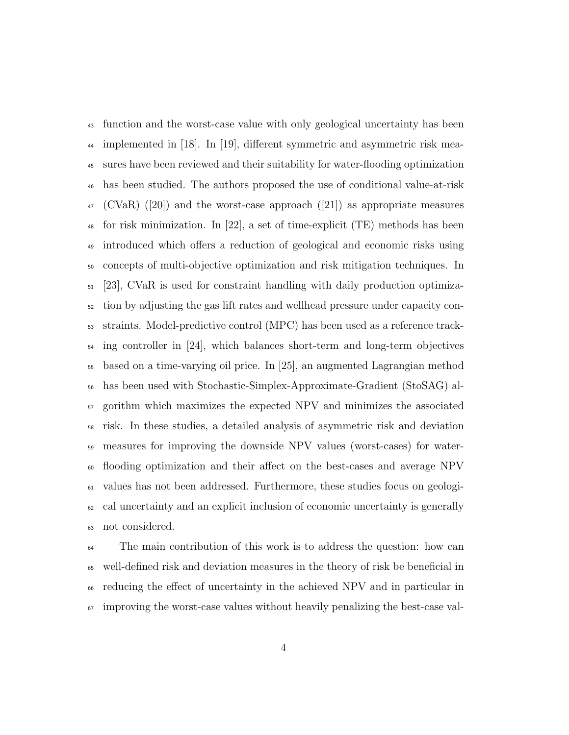function and the worst-case value with only geological uncertainty has been implemented in [18]. In [19], different symmetric and asymmetric risk mea- sures have been reviewed and their suitability for water-flooding optimization has been studied. The authors proposed the use of conditional value-at-risk  $_{47}$  (CVaR) ([20]) and the worst-case approach ([21]) as appropriate measures for risk minimization. In [22], a set of time-explicit (TE) methods has been introduced which offers a reduction of geological and economic risks using concepts of multi-objective optimization and risk mitigation techniques. In [23], CVaR is used for constraint handling with daily production optimiza- tion by adjusting the gas lift rates and wellhead pressure under capacity con- straints. Model-predictive control (MPC) has been used as a reference track- ing controller in [24], which balances short-term and long-term objectives based on a time-varying oil price. In [25], an augmented Lagrangian method has been used with Stochastic-Simplex-Approximate-Gradient (StoSAG) al- gorithm which maximizes the expected NPV and minimizes the associated risk. In these studies, a detailed analysis of asymmetric risk and deviation measures for improving the downside NPV values (worst-cases) for water- flooding optimization and their affect on the best-cases and average NPV values has not been addressed. Furthermore, these studies focus on geologi- cal uncertainty and an explicit inclusion of economic uncertainty is generally not considered.

 The main contribution of this work is to address the question: how can well-defined risk and deviation measures in the theory of risk be beneficial in reducing the effect of uncertainty in the achieved NPV and in particular in improving the worst-case values without heavily penalizing the best-case val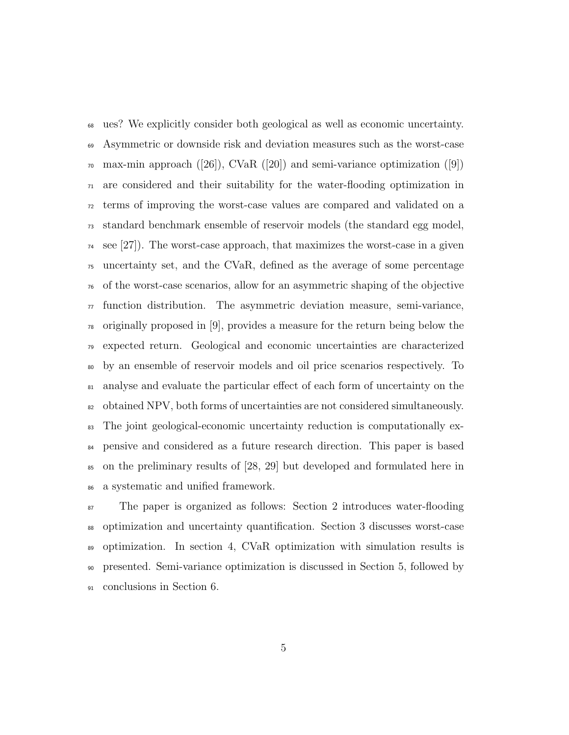ues? We explicitly consider both geological as well as economic uncertainty. Asymmetric or downside risk and deviation measures such as the worst-case  $\pi$  max-min approach ([26]), CVaR ([20]) and semi-variance optimization ([9]) are considered and their suitability for the water-flooding optimization in terms of improving the worst-case values are compared and validated on a standard benchmark ensemble of reservoir models (the standard egg model, see [27]). The worst-case approach, that maximizes the worst-case in a given uncertainty set, and the CVaR, defined as the average of some percentage of the worst-case scenarios, allow for an asymmetric shaping of the objective  $\pi$  function distribution. The asymmetric deviation measure, semi-variance, originally proposed in [9], provides a measure for the return being below the expected return. Geological and economic uncertainties are characterized by an ensemble of reservoir models and oil price scenarios respectively. To analyse and evaluate the particular effect of each form of uncertainty on the obtained NPV, both forms of uncertainties are not considered simultaneously. The joint geological-economic uncertainty reduction is computationally ex- pensive and considered as a future research direction. This paper is based on the preliminary results of [28, 29] but developed and formulated here in a systematic and unified framework.

 The paper is organized as follows: Section 2 introduces water-flooding optimization and uncertainty quantification. Section 3 discusses worst-case optimization. In section 4, CVaR optimization with simulation results is presented. Semi-variance optimization is discussed in Section 5, followed by conclusions in Section 6.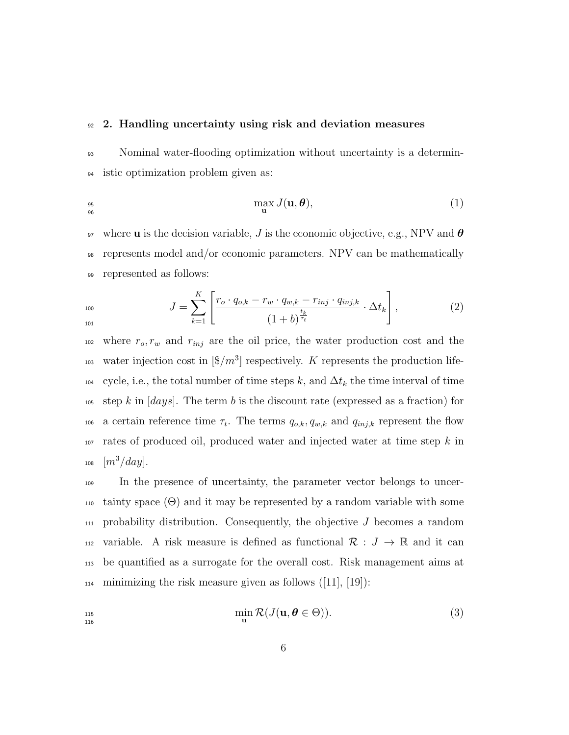#### <sup>92</sup> 2. Handling uncertainty using risk and deviation measures

96

101

93 Nominal water-flooding optimization without uncertainty is a determin-<sup>94</sup> istic optimization problem given as:

$$
\max_{\mathbf{q}_6} J(\mathbf{u}, \boldsymbol{\theta}), \tag{1}
$$

97 where **u** is the decision variable, J is the economic objective, e.g., NPV and  $\theta$ <sup>98</sup> represents model and/or economic parameters. NPV can be mathematically <sup>99</sup> represented as follows:

$$
J = \sum_{k=1}^{K} \left[ \frac{r_o \cdot q_{o,k} - r_w \cdot q_{w,k} - r_{inj} \cdot q_{inj,k}}{\left(1 + b\right)^{\frac{t_k}{\tau_t}}} \cdot \Delta t_k \right],
$$
 (2)

 $102$  where  $r_o, r_w$  and  $r_{inj}$  are the oil price, the water production cost and the <sup>103</sup> water injection cost in  $[\frac{6}{m^3}]$  respectively. K represents the production life- $104$  cycle, i.e., the total number of time steps k, and  $\Delta t_k$  the time interval of time 105 step k in  $[days]$ . The term b is the discount rate (expressed as a fraction) for 106 a certain reference time  $\tau_t$ . The terms  $q_{o,k}, q_{w,k}$  and  $q_{inj,k}$  represent the flow  $107$  rates of produced oil, produced water and injected water at time step k in 108  $[m^3/day]$ .

<sup>109</sup> In the presence of uncertainty, the parameter vector belongs to uncer-110 tainty space  $(\Theta)$  and it may be represented by a random variable with some  $_{111}$  probability distribution. Consequently, the objective J becomes a random 112 variable. A risk measure is defined as functional  $\mathcal{R}: J \to \mathbb{R}$  and it can <sup>113</sup> be quantified as a surrogate for the overall cost. Risk management aims at  $_{114}$  minimizing the risk measure given as follows ([11], [19]):

$$
\min_{\mathbf{u}} \mathcal{R}(J(\mathbf{u}, \boldsymbol{\theta} \in \Theta)). \tag{3}
$$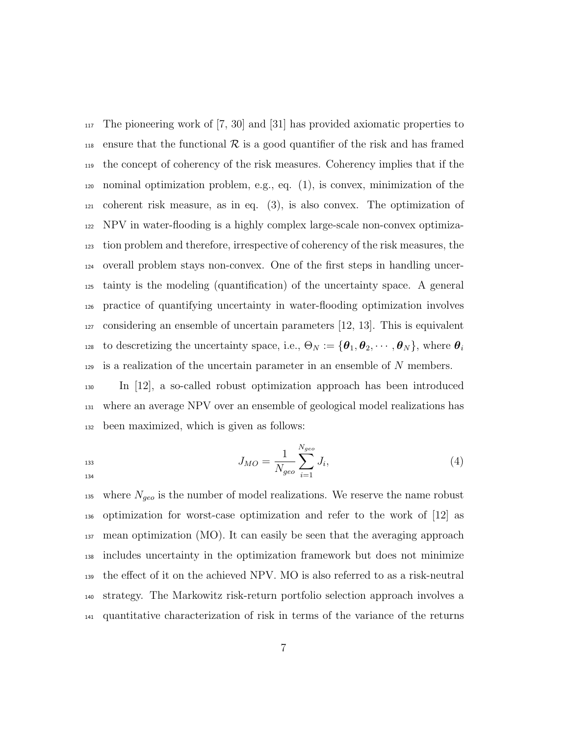The pioneering work of [7, 30] and [31] has provided axiomatic properties to 118 ensure that the functional R is a good quantifier of the risk and has framed the concept of coherency of the risk measures. Coherency implies that if the nominal optimization problem, e.g., eq. (1), is convex, minimization of the coherent risk measure, as in eq. (3), is also convex. The optimization of NPV in water-flooding is a highly complex large-scale non-convex optimiza- tion problem and therefore, irrespective of coherency of the risk measures, the overall problem stays non-convex. One of the first steps in handling uncer- tainty is the modeling (quantification) of the uncertainty space. A general practice of quantifying uncertainty in water-flooding optimization involves considering an ensemble of uncertain parameters [12, 13]. This is equivalent to descretizing the uncertainty space, i.e.,  $\Theta_N := {\{\boldsymbol{\theta}_1, \boldsymbol{\theta}_2, \cdots, \boldsymbol{\theta}_N\}}$ , where  $\boldsymbol{\theta}_i$  is a realization of the uncertain parameter in an ensemble of N members.

 In [12], a so-called robust optimization approach has been introduced where an average NPV over an ensemble of geological model realizations has been maximized, which is given as follows:

$$
J_{MO} = \frac{1}{N_{geo}} \sum_{i=1}^{N_{geo}} J_i,
$$
\n(4)

<sup>135</sup> where  $N_{geo}$  is the number of model realizations. We reserve the name robust optimization for worst-case optimization and refer to the work of [12] as mean optimization (MO). It can easily be seen that the averaging approach includes uncertainty in the optimization framework but does not minimize the effect of it on the achieved NPV. MO is also referred to as a risk-neutral strategy. The Markowitz risk-return portfolio selection approach involves a quantitative characterization of risk in terms of the variance of the returns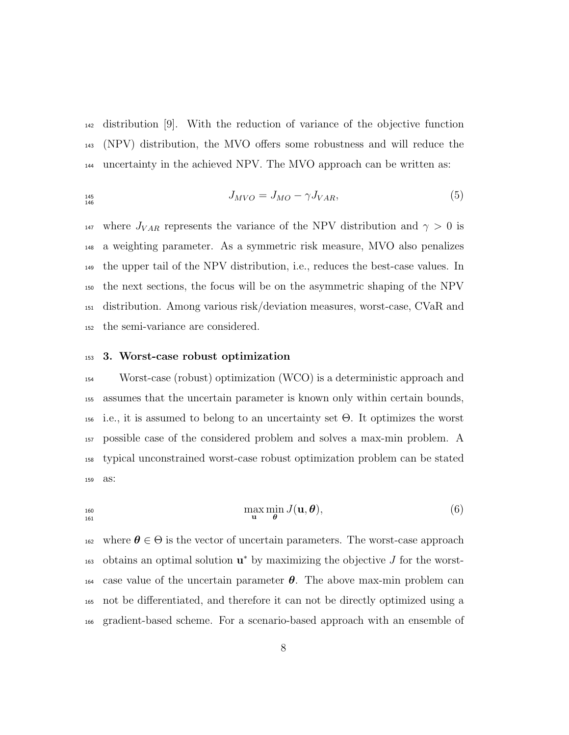distribution [9]. With the reduction of variance of the objective function (NPV) distribution, the MVO offers some robustness and will reduce the uncertainty in the achieved NPV. The MVO approach can be written as:

$$
J_{MVO} = J_{MO} - \gamma J_{VAR}, \tag{5}
$$

<sup>147</sup> where  $J_{VAR}$  represents the variance of the NPV distribution and  $\gamma > 0$  is a weighting parameter. As a symmetric risk measure, MVO also penalizes the upper tail of the NPV distribution, i.e., reduces the best-case values. In the next sections, the focus will be on the asymmetric shaping of the NPV distribution. Among various risk/deviation measures, worst-case, CVaR and the semi-variance are considered.

#### 3. Worst-case robust optimization

 Worst-case (robust) optimization (WCO) is a deterministic approach and assumes that the uncertain parameter is known only within certain bounds, 156 i.e., it is assumed to belong to an uncertainty set  $\Theta$ . It optimizes the worst possible case of the considered problem and solves a max-min problem. A typical unconstrained worst-case robust optimization problem can be stated as:

$$
\max_{\mathbf{u}} \min_{\theta} J(\mathbf{u}, \theta), \tag{6}
$$

<sup>162</sup> where  $\theta \in \Theta$  is the vector of uncertain parameters. The worst-case approach  $_{163}$  obtains an optimal solution  $\mathbf{u}^*$  by maximizing the objective J for the worst-<sup>164</sup> case value of the uncertain parameter  $\theta$ . The above max-min problem can not be differentiated, and therefore it can not be directly optimized using a gradient-based scheme. For a scenario-based approach with an ensemble of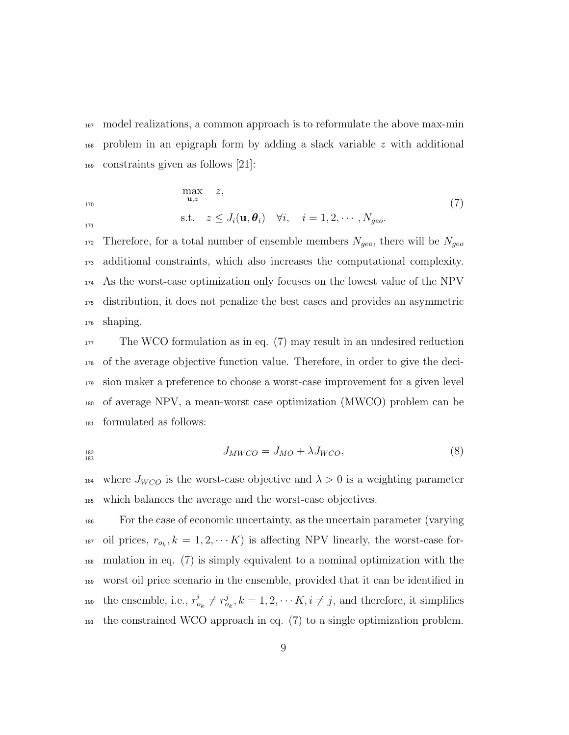model realizations, a common approach is to reformulate the above max-min problem in an epigraph form by adding a slack variable z with additional constraints given as follows [21]:

$$
\max_{\mathbf{u},z} z,
$$
\n
$$
\text{s.t.} \quad z \leq J_i(\mathbf{u}, \boldsymbol{\theta}_i) \quad \forall i, \quad i = 1, 2, \cdots, N_{geo}.\tag{7}
$$

 Therefore, for a total number of ensemble members  $N_{geo}$ , there will be  $N_{geo}$  additional constraints, which also increases the computational complexity. As the worst-case optimization only focuses on the lowest value of the NPV distribution, it does not penalize the best cases and provides an asymmetric shaping.

 The WCO formulation as in eq. (7) may result in an undesired reduction of the average objective function value. Therefore, in order to give the deci- sion maker a preference to choose a worst-case improvement for a given level of average NPV, a mean-worst case optimization (MWCO) problem can be formulated as follows:

$$
J_{MWCO} = J_{MO} + \lambda J_{WCO},\tag{8}
$$

184 where  $J_{WCO}$  is the worst-case objective and  $\lambda > 0$  is a weighting parameter which balances the average and the worst-case objectives.

 For the case of economic uncertainty, as the uncertain parameter (varying <sup>187</sup> oil prices,  $r_{o_k}, k = 1, 2, \cdots K$  is affecting NPV linearly, the worst-case for- mulation in eq. (7) is simply equivalent to a nominal optimization with the worst oil price scenario in the ensemble, provided that it can be identified in <sup>190</sup> the ensemble, i.e.,  $r_{o_k}^i \neq r_{o_k}^j, k = 1, 2, \cdots K, i \neq j$ , and therefore, it simplifies  $_{191}$  the constrained WCO approach in eq. (7) to a single optimization problem.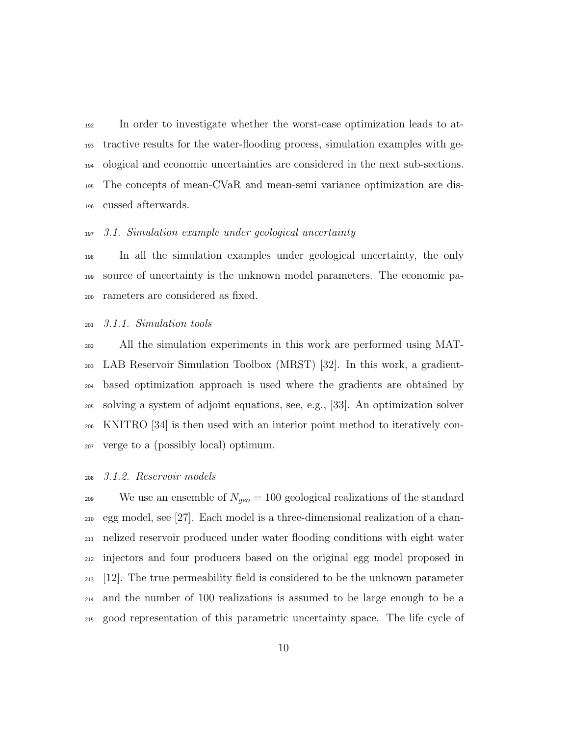In order to investigate whether the worst-case optimization leads to at- tractive results for the water-flooding process, simulation examples with ge- ological and economic uncertainties are considered in the next sub-sections. The concepts of mean-CVaR and mean-semi variance optimization are dis-cussed afterwards.

#### 3.1. Simulation example under geological uncertainty

 In all the simulation examples under geological uncertainty, the only source of uncertainty is the unknown model parameters. The economic pa-rameters are considered as fixed.

#### 3.1.1. Simulation tools

 All the simulation experiments in this work are performed using MAT- LAB Reservoir Simulation Toolbox (MRST) [32]. In this work, a gradient- based optimization approach is used where the gradients are obtained by solving a system of adjoint equations, see, e.g., [33]. An optimization solver KNITRO [34] is then used with an interior point method to iteratively con-verge to a (possibly local) optimum.

### 3.1.2. Reservoir models

<sup>209</sup> We use an ensemble of  $N_{geo} = 100$  geological realizations of the standard egg model, see [27]. Each model is a three-dimensional realization of a chan- nelized reservoir produced under water flooding conditions with eight water injectors and four producers based on the original egg model proposed in [12]. The true permeability field is considered to be the unknown parameter and the number of 100 realizations is assumed to be large enough to be a good representation of this parametric uncertainty space. The life cycle of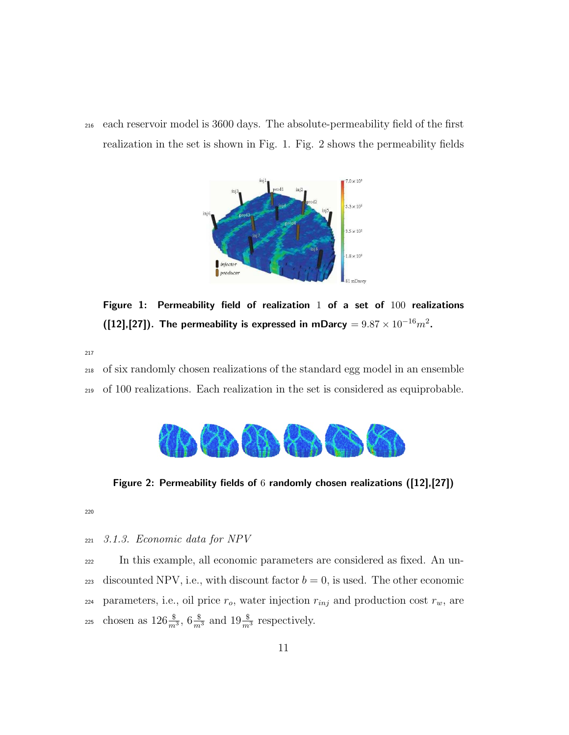<sup>216</sup> each reservoir model is 3600 days. The absolute-permeability field of the first realization in the set is shown in Fig. 1. Fig. 2 shows the permeability fields



Figure 1: Permeability field of realization  $1$  of a set of  $100$  realizations ([12],[27]). The permeability is expressed in mDarcy  $= 9.87 \times 10^{-16} m^2$ .

217

<sup>218</sup> of six randomly chosen realizations of the standard egg model in an ensemble <sup>219</sup> of 100 realizations. Each realization in the set is considered as equiprobable.



Figure 2: Permeability fields of 6 randomly chosen realizations ([12],[27])

220

<sup>221</sup> 3.1.3. Economic data for NPV

<sup>222</sup> In this example, all economic parameters are considered as fixed. An un-223 discounted NPV, i.e., with discount factor  $b = 0$ , is used. The other economic 224 parameters, i.e., oil price  $r_o$ , water injection  $r_{inj}$  and production cost  $r_w$ , are <sup>225</sup> chosen as  $126\frac{\$}{m^3}$ ,  $6\frac{\$}{m^3}$  and  $19\frac{\$}{m^3}$  respectively.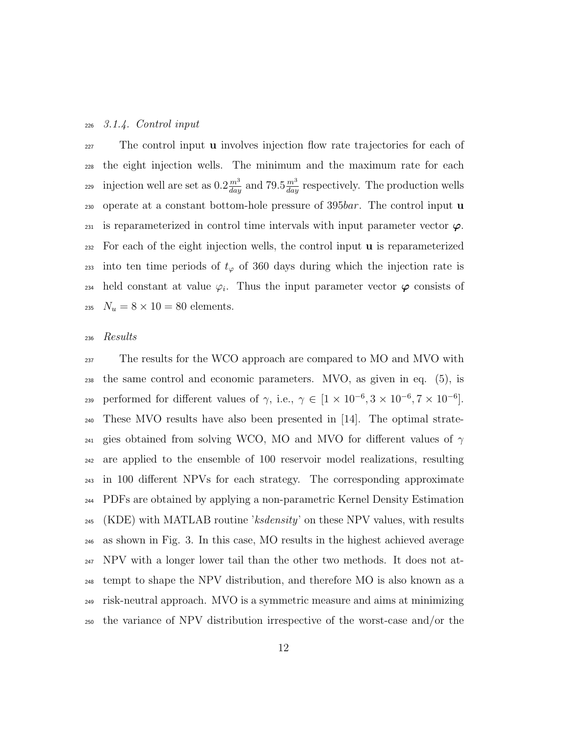#### <sup>226</sup> 3.1.4. Control input

<sub>227</sub> The control input **u** involves injection flow rate trajectories for each of <sup>228</sup> the eight injection wells. The minimum and the maximum rate for each injection well are set as  $0.2 \frac{m^3}{day}$  and  $79.5 \frac{m^3}{day}$  respectively. The production wells 230 operate at a constant bottom-hole pressure of 395*bar*. The control input **u** 231 is reparameterized in control time intervals with input parameter vector  $\varphi$ .  $232$  For each of the eight injection wells, the control input  $\bf{u}$  is reparameterized 233 into ten time periods of  $t_{\varphi}$  of 360 days during which the injection rate is 234 held constant at value  $\varphi_i$ . Thus the input parameter vector  $\varphi$  consists of 235  $N_u = 8 \times 10 = 80$  elements.

#### <sup>236</sup> Results

<sup>237</sup> The results for the WCO approach are compared to MO and MVO with the same control and economic parameters. MVO, as given in eq. (5), is 239 performed for different values of γ, i.e.,  $\gamma \in [1 \times 10^{-6}, 3 \times 10^{-6}, 7 \times 10^{-6}]$ . These MVO results have also been presented in [14]. The optimal strate-<sub>241</sub> gies obtained from solving WCO, MO and MVO for different values of  $\gamma$  are applied to the ensemble of 100 reservoir model realizations, resulting in 100 different NPVs for each strategy. The corresponding approximate PDFs are obtained by applying a non-parametric Kernel Density Estimation  $_{245}$  (KDE) with MATLAB routine 'ksdensity' on these NPV values, with results as shown in Fig. 3. In this case, MO results in the highest achieved average  $_{247}$  NPV with a longer lower tail than the other two methods. It does not at- tempt to shape the NPV distribution, and therefore MO is also known as a risk-neutral approach. MVO is a symmetric measure and aims at minimizing the variance of NPV distribution irrespective of the worst-case and/or the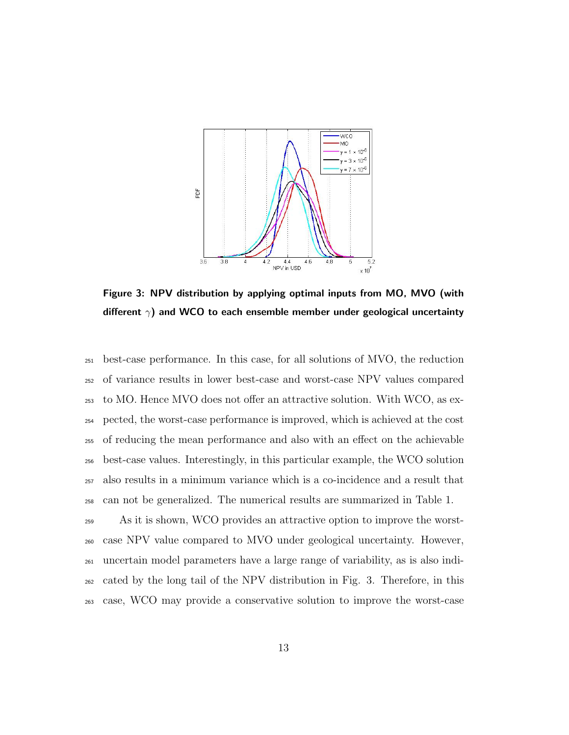

Figure 3: NPV distribution by applying optimal inputs from MO, MVO (with different  $\gamma$ ) and WCO to each ensemble member under geological uncertainty

 best-case performance. In this case, for all solutions of MVO, the reduction of variance results in lower best-case and worst-case NPV values compared to MO. Hence MVO does not offer an attractive solution. With WCO, as ex- pected, the worst-case performance is improved, which is achieved at the cost of reducing the mean performance and also with an effect on the achievable best-case values. Interestingly, in this particular example, the WCO solution also results in a minimum variance which is a co-incidence and a result that can not be generalized. The numerical results are summarized in Table 1.

 As it is shown, WCO provides an attractive option to improve the worst- case NPV value compared to MVO under geological uncertainty. However, uncertain model parameters have a large range of variability, as is also indi- cated by the long tail of the NPV distribution in Fig. 3. Therefore, in this case, WCO may provide a conservative solution to improve the worst-case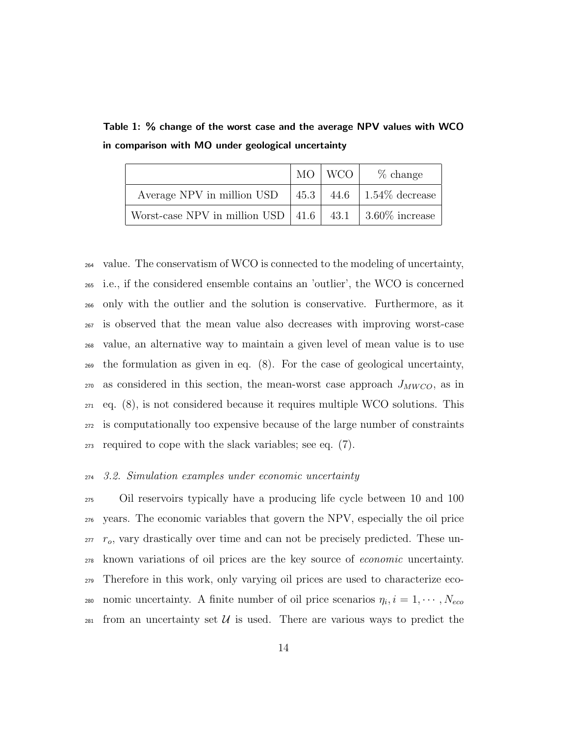|                                                               | MO   WCO | % change                      |
|---------------------------------------------------------------|----------|-------------------------------|
| Average NPV in million USD                                    |          | 45.3   44.6   1.54\% decrease |
| Worst-case NPV in million USD   41.6   43.1   3.60\% increase |          |                               |

Table 1: % change of the worst case and the average NPV values with WCO in comparison with MO under geological uncertainty

 value. The conservatism of WCO is connected to the modeling of uncertainty, i.e., if the considered ensemble contains an 'outlier', the WCO is concerned only with the outlier and the solution is conservative. Furthermore, as it is observed that the mean value also decreases with improving worst-case value, an alternative way to maintain a given level of mean value is to use the formulation as given in eq. (8). For the case of geological uncertainty, as considered in this section, the mean-worst case approach  $J_{MWCO}$ , as in  $_{271}$  eq.  $(8)$ , is not considered because it requires multiple WCO solutions. This is computationally too expensive because of the large number of constraints required to cope with the slack variables; see eq. (7).

#### 3.2. Simulation examples under economic uncertainty

 Oil reservoirs typically have a producing life cycle between 10 and 100 years. The economic variables that govern the NPV, especially the oil price  $r_o$ , vary drastically over time and can not be precisely predicted. These un- known variations of oil prices are the key source of economic uncertainty. Therefore in this work, only varying oil prices are used to characterize eco-280 nomic uncertainty. A finite number of oil price scenarios  $\eta_i, i = 1, \cdots, N_{eco}$ 281 from an uncertainty set U is used. There are various ways to predict the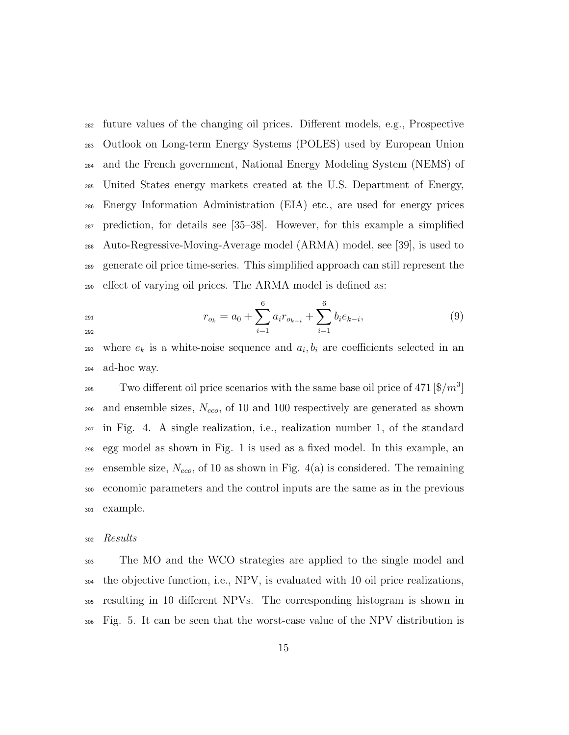future values of the changing oil prices. Different models, e.g., Prospective Outlook on Long-term Energy Systems (POLES) used by European Union and the French government, National Energy Modeling System (NEMS) of United States energy markets created at the U.S. Department of Energy, Energy Information Administration (EIA) etc., are used for energy prices prediction, for details see [35–38]. However, for this example a simplified Auto-Regressive-Moving-Average model (ARMA) model, see [39], is used to generate oil price time-series. This simplified approach can still represent the effect of varying oil prices. The ARMA model is defined as:

$$
r_{o_k} = a_0 + \sum_{i=1}^{6} a_i r_{o_{k-i}} + \sum_{i=1}^{6} b_i e_{k-i},
$$
\n(9)

293 where  $e_k$  is a white-noise sequence and  $a_i, b_i$  are coefficients selected in an ad-hoc way.

<sup>295</sup> Two different oil price scenarios with the same base oil price of 471  $\left[\frac{8}{m^3}\right]$ 296 and ensemble sizes,  $N_{eco}$ , of 10 and 100 respectively are generated as shown in Fig. 4. A single realization, i.e., realization number 1, of the standard egg model as shown in Fig. 1 is used as a fixed model. In this example, an 299 ensemble size,  $N_{eco}$ , of 10 as shown in Fig. 4(a) is considered. The remaining economic parameters and the control inputs are the same as in the previous example.

#### Results

 The MO and the WCO strategies are applied to the single model and the objective function, i.e., NPV, is evaluated with 10 oil price realizations, resulting in 10 different NPVs. The corresponding histogram is shown in Fig. 5. It can be seen that the worst-case value of the NPV distribution is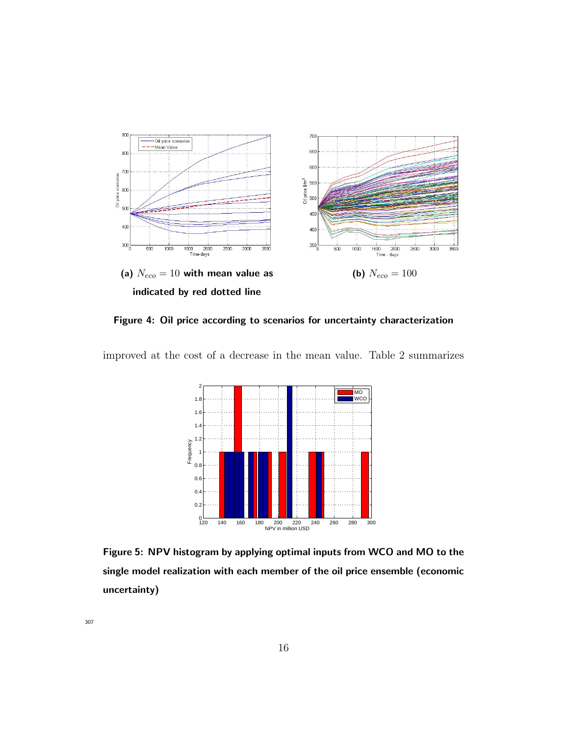

Figure 4: Oil price according to scenarios for uncertainty characterization





Figure 5: NPV histogram by applying optimal inputs from WCO and MO to the single model realization with each member of the oil price ensemble (economic uncertainty)

307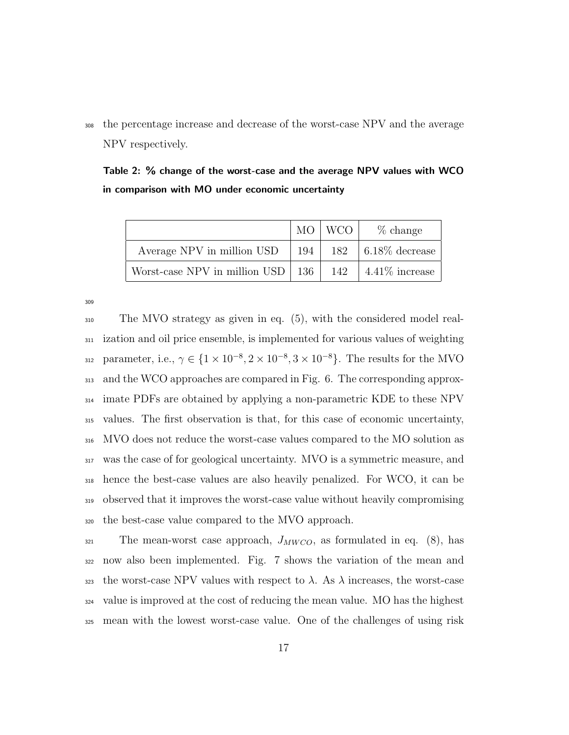the percentage increase and decrease of the worst-case NPV and the average NPV respectively.

|  |  |  |  |  | Table 2: % change of the worst-case and the average NPV values with WCO |  |  |
|--|--|--|--|--|-------------------------------------------------------------------------|--|--|
|  |  |  |  |  | in comparison with MO under economic uncertainty                        |  |  |

|                                           |     | MO   WCO | $\%$ change             |
|-------------------------------------------|-----|----------|-------------------------|
| Average NPV in million USD                | 194 |          | 182   $6.18\%$ decrease |
| Worst-case NPV in million USD $\vert$ 136 |     | 142      | $4.41\%$ increase       |

 The MVO strategy as given in eq. (5), with the considered model real- ization and oil price ensemble, is implemented for various values of weighting 312 parameter, i.e.,  $\gamma \in \{1 \times 10^{-8}, 2 \times 10^{-8}, 3 \times 10^{-8}\}$ . The results for the MVO and the WCO approaches are compared in Fig. 6. The corresponding approx- imate PDFs are obtained by applying a non-parametric KDE to these NPV values. The first observation is that, for this case of economic uncertainty, MVO does not reduce the worst-case values compared to the MO solution as was the case of for geological uncertainty. MVO is a symmetric measure, and hence the best-case values are also heavily penalized. For WCO, it can be observed that it improves the worst-case value without heavily compromising the best-case value compared to the MVO approach.

 The mean-worst case approach,  $J_{MWCO}$ , as formulated in eq. (8), has now also been implemented. Fig. 7 shows the variation of the mean and 323 the worst-case NPV values with respect to  $\lambda$ . As  $\lambda$  increases, the worst-case value is improved at the cost of reducing the mean value. MO has the highest mean with the lowest worst-case value. One of the challenges of using risk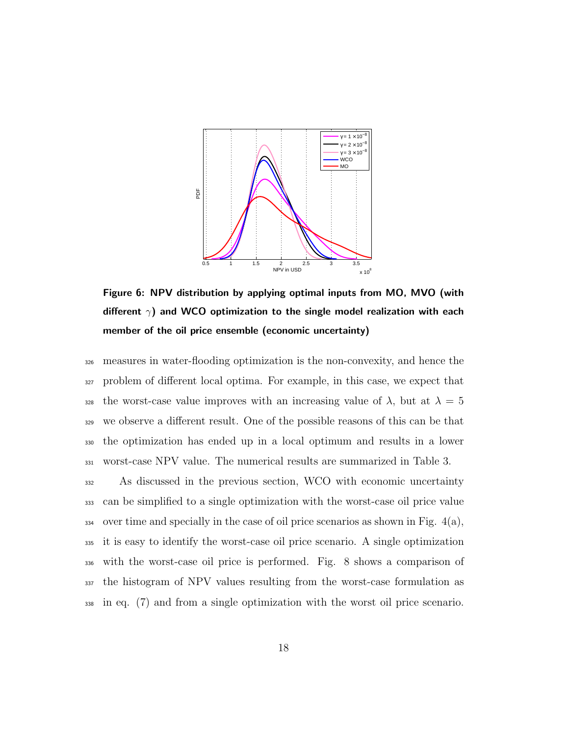

Figure 6: NPV distribution by applying optimal inputs from MO, MVO (with different  $\gamma$ ) and WCO optimization to the single model realization with each member of the oil price ensemble (economic uncertainty)

 measures in water-flooding optimization is the non-convexity, and hence the problem of different local optima. For example, in this case, we expect that 328 the worst-case value improves with an increasing value of  $\lambda$ , but at  $\lambda = 5$  we observe a different result. One of the possible reasons of this can be that the optimization has ended up in a local optimum and results in a lower worst-case NPV value. The numerical results are summarized in Table 3.

 As discussed in the previous section, WCO with economic uncertainty can be simplified to a single optimization with the worst-case oil price value 334 over time and specially in the case of oil price scenarios as shown in Fig.  $4(a)$ , it is easy to identify the worst-case oil price scenario. A single optimization with the worst-case oil price is performed. Fig. 8 shows a comparison of the histogram of NPV values resulting from the worst-case formulation as in eq. (7) and from a single optimization with the worst oil price scenario.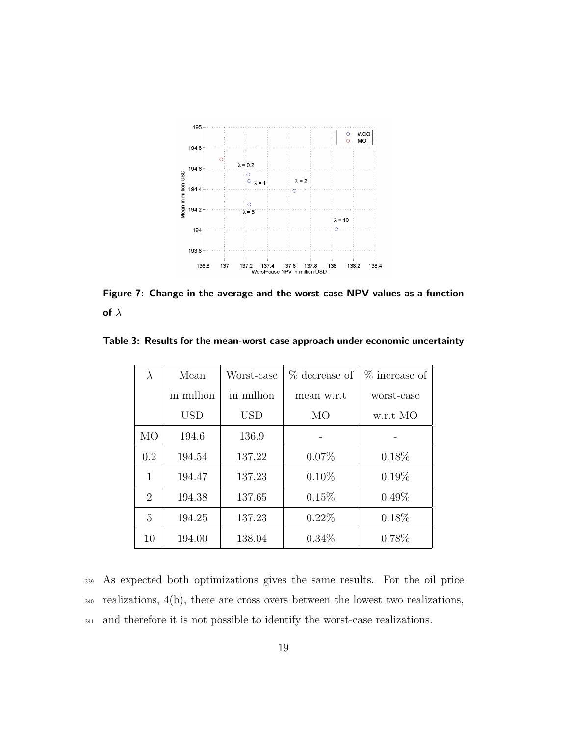

Figure 7: Change in the average and the worst-case NPV values as a function of  $\lambda$ 

| $\lambda$ | Mean       | Worst-case | % decrease of | % increase of |  |
|-----------|------------|------------|---------------|---------------|--|
|           | in million | in million | mean w.r.t    | worst-case    |  |
|           | <b>USD</b> | USD        | MO            | w.r.t MO      |  |
| МO        | 194.6      | 136.9      |               |               |  |
| 0.2       | 194.54     | 137.22     | $0.07\%$      | $0.18\%$      |  |
| 1         | 194.47     | 137.23     | $0.10\%$      | $0.19\%$      |  |
| 2         | 194.38     | 137.65     | 0.15%         | $0.49\%$      |  |
| 5         | 194.25     | 137.23     | $0.22\%$      | 0.18%         |  |
| 10        | 194.00     | 138.04     | $0.34\%$      | 0.78%         |  |

Table 3: Results for the mean-worst case approach under economic uncertainty

<sup>339</sup> As expected both optimizations gives the same results. For the oil price <sup>340</sup> realizations, 4(b), there are cross overs between the lowest two realizations, <sup>341</sup> and therefore it is not possible to identify the worst-case realizations.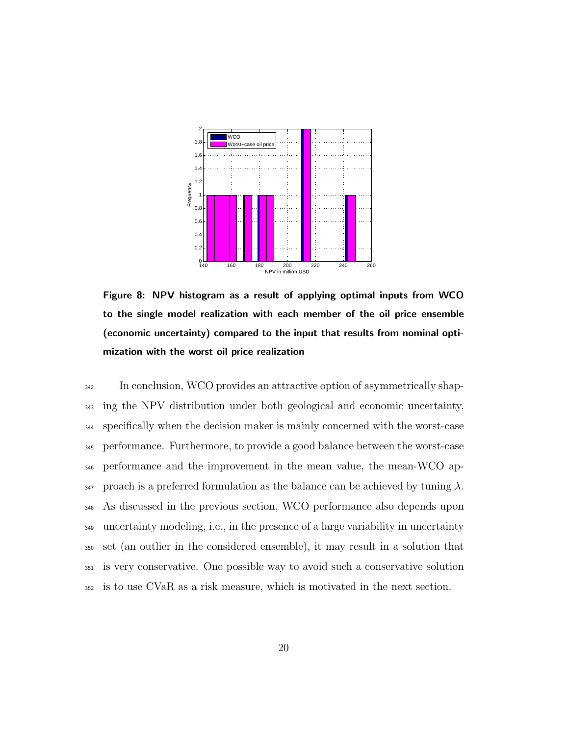

Figure 8: NPV histogram as a result of applying optimal inputs from WCO to the single model realization with each member of the oil price ensemble (economic uncertainty) compared to the input that results from nominal optimization with the worst oil price realization

 In conclusion, WCO provides an attractive option of asymmetrically shap- ing the NPV distribution under both geological and economic uncertainty, specifically when the decision maker is mainly concerned with the worst-case performance. Furthermore, to provide a good balance between the worst-case performance and the improvement in the mean value, the mean-WCO ap-347 proach is a preferred formulation as the balance can be achieved by tuning  $\lambda$ . As discussed in the previous section, WCO performance also depends upon uncertainty modeling, i.e., in the presence of a large variability in uncertainty set (an outlier in the considered ensemble), it may result in a solution that is very conservative. One possible way to avoid such a conservative solution is to use CVaR as a risk measure, which is motivated in the next section.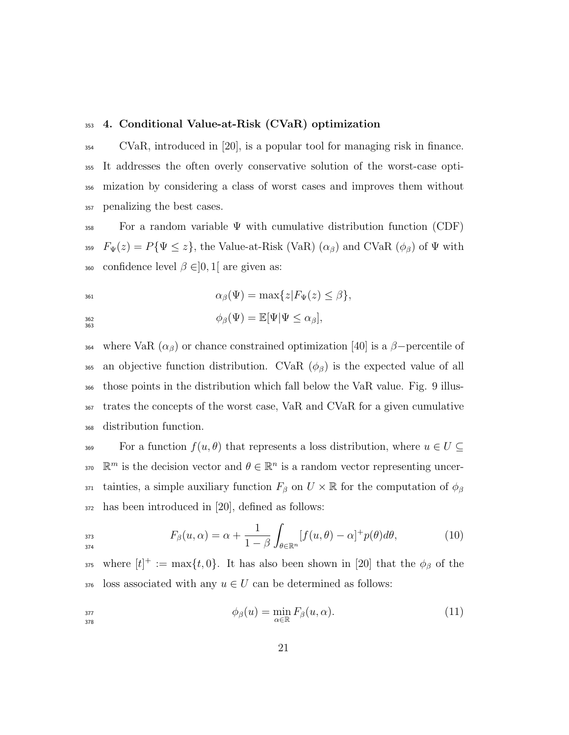#### <sup>353</sup> 4. Conditional Value-at-Risk (CVaR) optimization

 CVaR, introduced in [20], is a popular tool for managing risk in finance. It addresses the often overly conservative solution of the worst-case opti- mization by considering a class of worst cases and improves them without penalizing the best cases.

 $\overline{3}58$  For a random variable  $\Psi$  with cumulative distribution function (CDF) 359  $F_{\Psi}(z) = P{\Psi \leq z}$ , the Value-at-Risk (VaR)  $(\alpha_{\beta})$  and CVaR  $(\phi_{\beta})$  of  $\Psi$  with 360 confidence level  $\beta \in ]0,1[$  are given as:

<sup>361</sup> αβ(Ψ) = max{z|FΨ(z) ≤ β}, <sup>362</sup> φβ(Ψ) = E[Ψ|Ψ ≤ αβ], 363

364 where VaR  $(\alpha_{\beta})$  or chance constrained optimization [40] is a  $\beta$ -percentile of 365 an objective function distribution. CVaR  $(\phi_{\beta})$  is the expected value of all <sup>366</sup> those points in the distribution which fall below the VaR value. Fig. 9 illus-<sup>367</sup> trates the concepts of the worst case, VaR and CVaR for a given cumulative <sup>368</sup> distribution function.

369 For a function  $f(u, \theta)$  that represents a loss distribution, where  $u \in U \subseteq$ 370  $\mathbb{R}^m$  is the decision vector and  $\theta \in \mathbb{R}^n$  is a random vector representing uncer-371 tainties, a simple auxiliary function  $F_\beta$  on  $U \times \mathbb{R}$  for the computation of  $\phi_\beta$ <sup>372</sup> has been introduced in [20], defined as follows:

$$
F_{\beta}(u,\alpha) = \alpha + \frac{1}{1-\beta} \int_{\theta \in \mathbb{R}^n} [f(u,\theta) - \alpha]^+ p(\theta) d\theta, \tag{10}
$$

375 where  $[t]^+ := \max\{t, 0\}$ . It has also been shown in [20] that the  $\phi_\beta$  of the 376 loss associated with any  $u \in U$  can be determined as follows:

$$
\phi_{\beta}(u) = \min_{\alpha \in \mathbb{R}} F_{\beta}(u, \alpha).
$$
\n(11)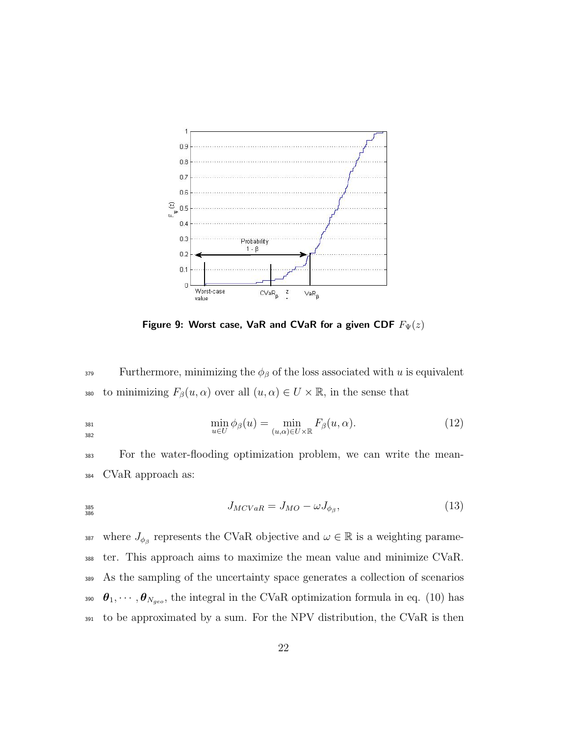

Figure 9: Worst case, VaR and CVaR for a given CDF  $F_{\Psi}(z)$ 

<sup>379</sup> Furthermore, minimizing the  $\phi_\beta$  of the loss associated with u is equivalent 380 to minimizing  $F_\beta(u, \alpha)$  over all  $(u, \alpha) \in U \times \mathbb{R}$ , in the sense that

$$
\min_{u \in U} \phi_{\beta}(u) = \min_{(u,\alpha) \in U \times \mathbb{R}} F_{\beta}(u,\alpha).
$$
\n(12)

<sup>383</sup> For the water-flooding optimization problem, we can write the mean-<sup>384</sup> CVaR approach as:

$$
J_{MCVaR} = J_{MO} - \omega J_{\phi_{\beta}},\tag{13}
$$

<sup>387</sup> where  $J_{\phi_{\beta}}$  represents the CVaR objective and  $\omega \in \mathbb{R}$  is a weighting parame- ter. This approach aims to maximize the mean value and minimize CVaR. As the sampling of the uncertainty space generates a collection of scenarios  $\theta_1, \cdots, \theta_{N_{geo}}$ , the integral in the CVaR optimization formula in eq. (10) has to be approximated by a sum. For the NPV distribution, the CVaR is then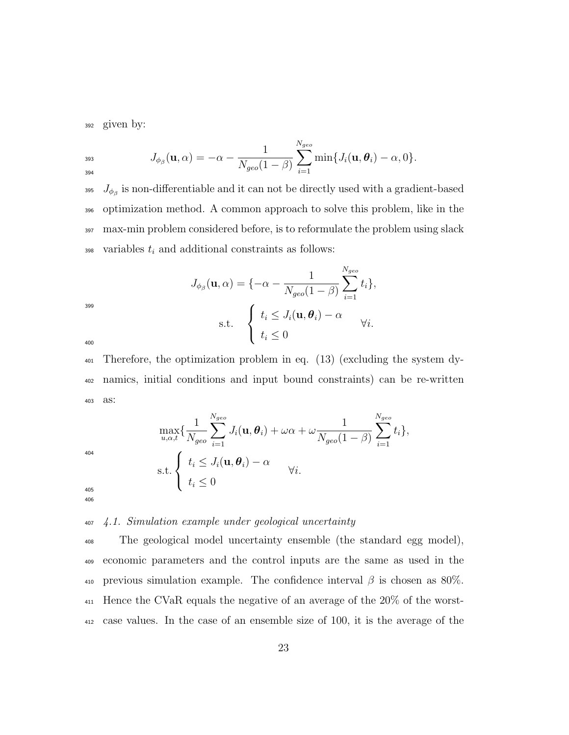<sup>392</sup> given by:

$$
J_{\phi_{\beta}}(\mathbf{u},\alpha)=-\alpha-\frac{1}{N_{geo}(1-\beta)}\sum_{i=1}^{N_{geo}}\min\{J_i(\mathbf{u},\boldsymbol{\theta}_i)-\alpha,0\}.
$$

<sup>395</sup>  $J_{\phi_{\beta}}$  is non-differentiable and it can not be directly used with a gradient-based <sup>396</sup> optimization method. A common approach to solve this problem, like in the <sup>397</sup> max-min problem considered before, is to reformulate the problem using slack 398 variables  $t_i$  and additional constraints as follows:

$$
J_{\phi_{\beta}}(\mathbf{u}, \alpha) = \{-\alpha - \frac{1}{N_{geo}(1-\beta)} \sum_{i=1}^{N_{geo}} t_i\},\newline \text{s.t.} \quad \begin{cases} t_i \leq J_i(\mathbf{u}, \boldsymbol{\theta}_i) - \alpha \\ t_i \leq 0 \end{cases} \forall i.
$$

400

399

<sup>401</sup> Therefore, the optimization problem in eq. (13) (excluding the system dy-<sup>402</sup> namics, initial conditions and input bound constraints) can be re-written <sup>403</sup> as:

$$
\max_{u,\alpha,t} \{ \frac{1}{N_{geo}} \sum_{i=1}^{N_{geo}} J_i(\mathbf{u}, \boldsymbol{\theta}_i) + \omega \alpha + \omega \frac{1}{N_{geo}(1-\beta)} \sum_{i=1}^{N_{geo}} t_i \},
$$
\n
$$
\text{s.t.} \begin{cases} t_i \leq J_i(\mathbf{u}, \boldsymbol{\theta}_i) - \alpha \\ t_i \leq 0 \end{cases} \forall i.
$$
\n
$$
\omega_6
$$

#### 405

404

# <sup>407</sup> 4.1. Simulation example under geological uncertainty

 The geological model uncertainty ensemble (the standard egg model), economic parameters and the control inputs are the same as used in the 410 previous simulation example. The confidence interval  $\beta$  is chosen as 80%. Hence the CVaR equals the negative of an average of the 20% of the worst-case values. In the case of an ensemble size of 100, it is the average of the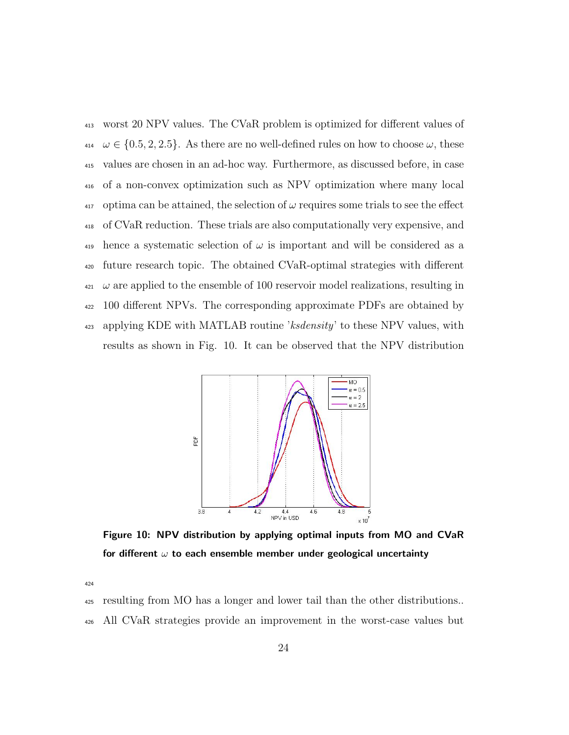worst 20 NPV values. The CVaR problem is optimized for different values of  $\omega \in \{0.5, 2, 2.5\}$ . As there are no well-defined rules on how to choose  $\omega$ , these values are chosen in an ad-hoc way. Furthermore, as discussed before, in case of a non-convex optimization such as NPV optimization where many local optima can be attained, the selection of  $\omega$  requires some trials to see the effect of CVaR reduction. These trials are also computationally very expensive, and 419 hence a systematic selection of  $\omega$  is important and will be considered as a future research topic. The obtained CVaR-optimal strategies with different  $\omega$  are applied to the ensemble of 100 reservoir model realizations, resulting in 100 different NPVs. The corresponding approximate PDFs are obtained by <sup>423</sup> applying KDE with MATLAB routine 'ksdensity' to these NPV values, with results as shown in Fig. 10. It can be observed that the NPV distribution



Figure 10: NPV distribution by applying optimal inputs from MO and CVaR for different  $\omega$  to each ensemble member under geological uncertainty

resulting from MO has a longer and lower tail than the other distributions..

All CVaR strategies provide an improvement in the worst-case values but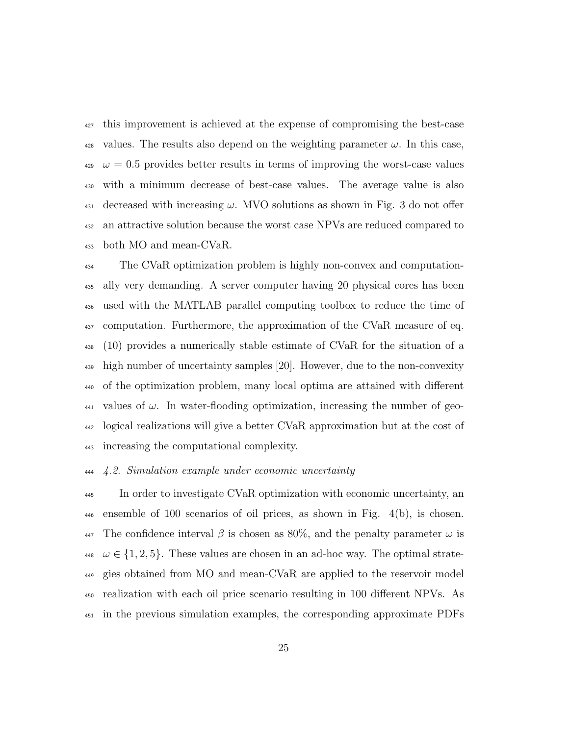this improvement is achieved at the expense of compromising the best-case <sup>428</sup> values. The results also depend on the weighting parameter  $\omega$ . In this case,  $\omega = 0.5$  provides better results in terms of improving the worst-case values with a minimum decrease of best-case values. The average value is also decreased with increasing  $\omega$ . MVO solutions as shown in Fig. 3 do not offer an attractive solution because the worst case NPVs are reduced compared to both MO and mean-CVaR.

 The CVaR optimization problem is highly non-convex and computation- ally very demanding. A server computer having 20 physical cores has been used with the MATLAB parallel computing toolbox to reduce the time of computation. Furthermore, the approximation of the CVaR measure of eq. (10) provides a numerically stable estimate of CVaR for the situation of a high number of uncertainty samples [20]. However, due to the non-convexity of the optimization problem, many local optima are attained with different  $\mu_{441}$  values of  $\omega$ . In water-flooding optimization, increasing the number of geo- logical realizations will give a better CVaR approximation but at the cost of increasing the computational complexity.

#### 4.2. Simulation example under economic uncertainty

 In order to investigate CVaR optimization with economic uncertainty, an ensemble of 100 scenarios of oil prices, as shown in Fig. 4(b), is chosen. 447 The confidence interval  $\beta$  is chosen as 80%, and the penalty parameter  $\omega$  is  $\omega \in \{1, 2, 5\}.$  These values are chosen in an ad-hoc way. The optimal strate- gies obtained from MO and mean-CVaR are applied to the reservoir model realization with each oil price scenario resulting in 100 different NPVs. As in the previous simulation examples, the corresponding approximate PDFs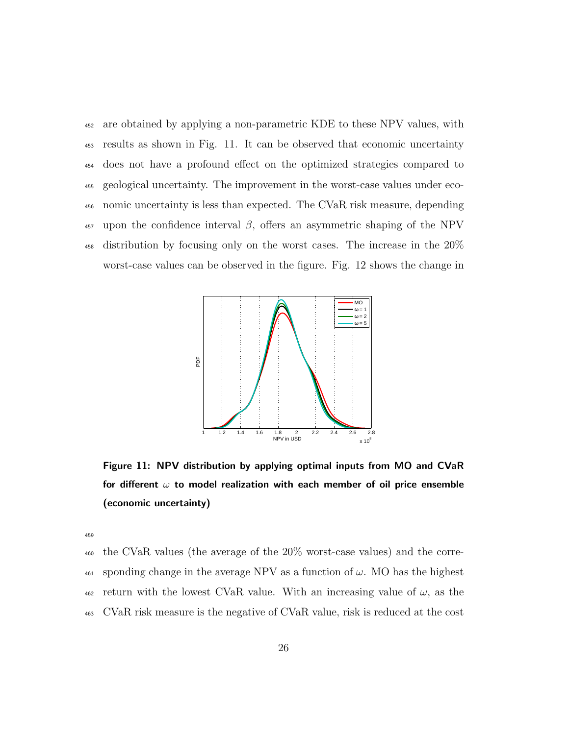are obtained by applying a non-parametric KDE to these NPV values, with results as shown in Fig. 11. It can be observed that economic uncertainty does not have a profound effect on the optimized strategies compared to geological uncertainty. The improvement in the worst-case values under eco- nomic uncertainty is less than expected. The CVaR risk measure, depending <sup>457</sup> upon the confidence interval β, offers an asymmetric shaping of the NPV distribution by focusing only on the worst cases. The increase in the 20% worst-case values can be observed in the figure. Fig. 12 shows the change in



Figure 11: NPV distribution by applying optimal inputs from MO and CVaR for different  $\omega$  to model realization with each member of oil price ensemble (economic uncertainty)

459

 the CVaR values (the average of the 20% worst-case values) and the corre- sponding change in the average NPV as a function of  $\omega$ . MO has the highest  $\frac{462}{462}$  return with the lowest CVaR value. With an increasing value of  $\omega$ , as the CVaR risk measure is the negative of CVaR value, risk is reduced at the cost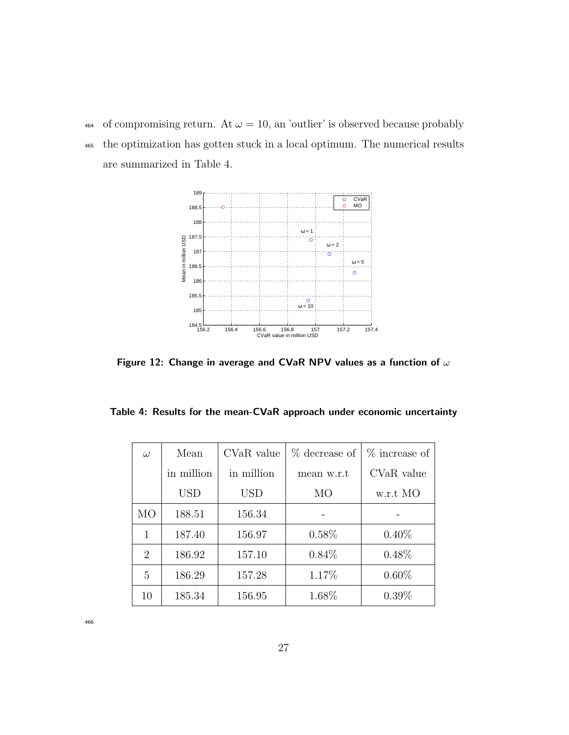464 of compromising return. At  $\omega = 10$ , an 'outlier' is observed because probably <sup>465</sup> the optimization has gotten stuck in a local optimum. The numerical results are summarized in Table 4.



Figure 12: Change in average and CVaR NPV values as a function of  $\omega$ 

|  |  | Table 4: Results for the mean-CVaR approach under economic uncertainty |  |  |  |
|--|--|------------------------------------------------------------------------|--|--|--|
|  |  |                                                                        |  |  |  |

| $\omega$ | Mean       | CVaR value | % decrease of | % increase of |
|----------|------------|------------|---------------|---------------|
|          | in million | in million | mean w.r.t    | CVaR value    |
|          | <b>USD</b> | USD        | MO            | w.r.t MO      |
| МO       | 188.51     | 156.34     |               |               |
| 1        | 187.40     | 156.97     | $0.58\%$      | $0.40\%$      |
| 2        | 186.92     | 157.10     | $0.84\%$      | $0.48\%$      |
| 5        | 186.29     | 157.28     | 1.17%         | $0.60\%$      |
| 10       | 185.34     | 156.95     | 1.68%         | $0.39\%$      |

466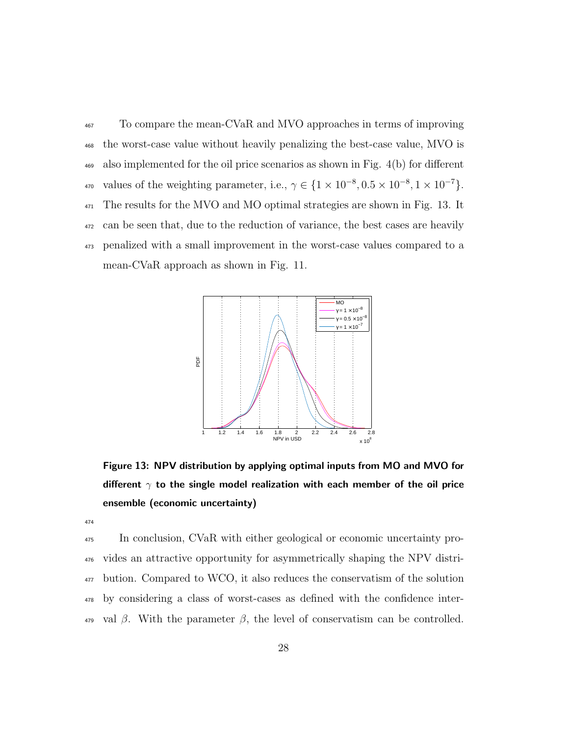To compare the mean-CVaR and MVO approaches in terms of improving the worst-case value without heavily penalizing the best-case value, MVO is also implemented for the oil price scenarios as shown in Fig. 4(b) for different 470 values of the weighting parameter, i.e.,  $\gamma \in \{1 \times 10^{-8}, 0.5 \times 10^{-8}, 1 \times 10^{-7}\}.$  The results for the MVO and MO optimal strategies are shown in Fig. 13. It can be seen that, due to the reduction of variance, the best cases are heavily penalized with a small improvement in the worst-case values compared to a mean-CVaR approach as shown in Fig. 11.



Figure 13: NPV distribution by applying optimal inputs from MO and MVO for different  $\gamma$  to the single model realization with each member of the oil price ensemble (economic uncertainty)

474

 In conclusion, CVaR with either geological or economic uncertainty pro- vides an attractive opportunity for asymmetrically shaping the NPV distri- bution. Compared to WCO, it also reduces the conservatism of the solution by considering a class of worst-cases as defined with the confidence inter-<sup>479</sup> val β. With the parameter β, the level of conservatism can be controlled.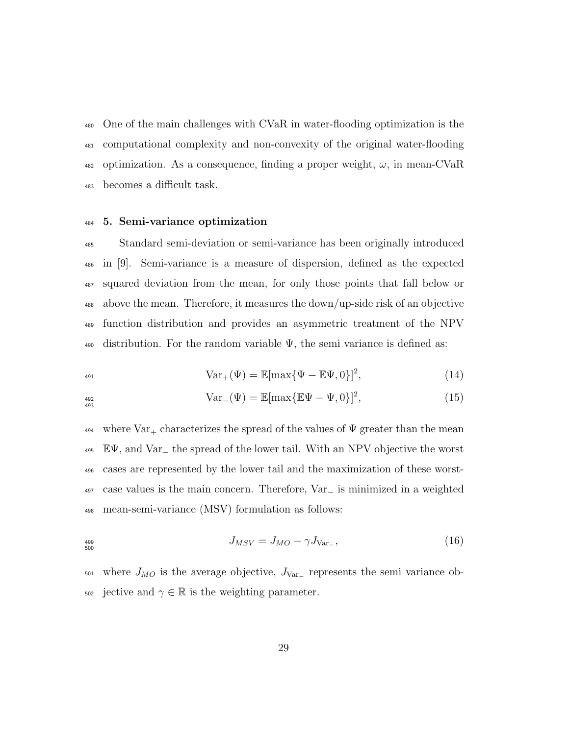One of the main challenges with CVaR in water-flooding optimization is the computational complexity and non-convexity of the original water-flooding 482 optimization. As a consequence, finding a proper weight,  $\omega$ , in mean-CVaR becomes a difficult task.

#### 5. Semi-variance optimization

 Standard semi-deviation or semi-variance has been originally introduced in [9]. Semi-variance is a measure of dispersion, defined as the expected squared deviation from the mean, for only those points that fall below or above the mean. Therefore, it measures the down/up-side risk of an objective function distribution and provides an asymmetric treatment of the NPV 490 distribution. For the random variable  $\Psi$ , the semi variance is defined as:

$$
\text{Var}_{+}(\Psi) = \mathbb{E}[\max{\{\Psi - \mathbb{E}\Psi, 0\}}]^2,
$$
\n(14)

$$
Var_{-}(\Psi) = \mathbb{E}[\max{\{\mathbb{E}\Psi - \Psi, 0\}}]^2,
$$
\n(15)

 $_{494}$  where  $\text{Var}_+$  characterizes the spread of the values of  $\Psi$  greater than the mean EΨ, and Var<sup>−</sup> the spread of the lower tail. With an NPV objective the worst cases are represented by the lower tail and the maximization of these worst- case values is the main concern. Therefore, Var<sup>−</sup> is minimized in a weighted mean-semi-variance (MSV) formulation as follows:

$$
J_{MSV} = J_{MO} - \gamma J_{\text{Var}_-},\tag{16}
$$

 $_{501}$  where  $J_{MO}$  is the average objective,  $J_{Var_{-}}$  represents the semi variance ob-502 jective and  $\gamma \in \mathbb{R}$  is the weighting parameter.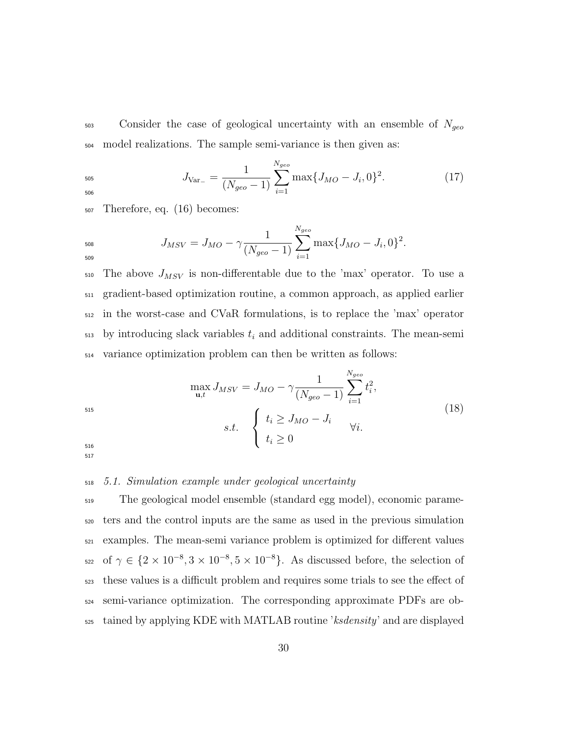$503$  Consider the case of geological uncertainty with an ensemble of  $N_{geo}$ <sup>504</sup> model realizations. The sample semi-variance is then given as:

$$
J_{\text{Var}_{-}} = \frac{1}{(N_{geo} - 1)} \sum_{i=1}^{N_{geo}} \max\{J_{MO} - J_i, 0\}^2.
$$
 (17)

<sup>507</sup> Therefore, eq. (16) becomes:

$$
J_{MSV} = J_{MO} - \gamma \frac{1}{(N_{geo} - 1)} \sum_{i=1}^{N_{geo}} \max\{J_{MO} - J_i, 0\}^2.
$$

 $\sigma$ <sub>510</sub> The above  $J_{MSV}$  is non-differentable due to the 'max' operator. To use a <sup>511</sup> gradient-based optimization routine, a common approach, as applied earlier <sup>512</sup> in the worst-case and CVaR formulations, is to replace the 'max' operator  $_{513}$  by introducing slack variables  $t_i$  and additional constraints. The mean-semi <sup>514</sup> variance optimization problem can then be written as follows:

515  
\n
$$
\max_{\mathbf{u},t} J_{MSV} = J_{MO} - \gamma \frac{1}{(N_{geo} - 1)} \sum_{i=1}^{N_{geo}} t_i^2,
$$
\n515  
\n516  
\n517  
\n518  
\n519  
\n510  
\n511  
\n512  
\n519  
\n521  
\n532  
\n54  
\n55  
\n56  
\n57  
\n58  
\n59  
\n50  
\n51  
\n52  
\n53  
\n54  
\n55  
\n56  
\n58  
\n59  
\n50  
\n51  
\n52  
\n53  
\n54  
\n55  
\n56  
\n58  
\n59  
\n59  
\n50  
\n51  
\n52  
\n53  
\n54  
\n55  
\n56  
\n58  
\n59  
\n50  
\n51  
\n52  
\n53  
\n54  
\n55  
\n56  
\n58  
\n59  
\n50  
\n51  
\n52  
\n53  
\n54  
\n55  
\n56  
\n58  
\n59  
\n50  
\n51  
\n52  
\n53  
\n54  
\n55  
\n56  
\n58  
\n59  
\n50  
\n51  
\n52  
\n53  
\n54  
\n55  
\n56  
\n58  
\n59  
\n51  
\n52  
\n53  
\n54  
\n55  
\n56  
\n58  
\n59  
\n51  
\n52  
\n53  
\n54  
\n55  
\n56  
\n58  
\n59  
\n51  
\n52  
\n53  
\n54  
\n55  
\n56  
\n58  
\n59  
\n51  
\n52  
\n53  
\n54  
\n55  
\n56  
\n58  
\n59  
\n51  
\n52  
\n53  
\n54  
\n55  
\n56  
\n58  
\n59  
\n51  
\n52  
\n53  
\n54  
\n55  
\n56  
\n58  
\n59  
\n51  
\n52  
\n53  
\n54  
\n55  
\n56  
\n58  
\n59  
\n

#### <sup>518</sup> 5.1. Simulation example under geological uncertainty

 The geological model ensemble (standard egg model), economic parame- ters and the control inputs are the same as used in the previous simulation examples. The mean-semi variance problem is optimized for different values <sup>522</sup> of  $\gamma \in \{2 \times 10^{-8}, 3 \times 10^{-8}, 5 \times 10^{-8}\}.$  As discussed before, the selection of these values is a difficult problem and requires some trials to see the effect of semi-variance optimization. The corresponding approximate PDFs are ob-tained by applying KDE with MATLAB routine 'ksdensity' and are displayed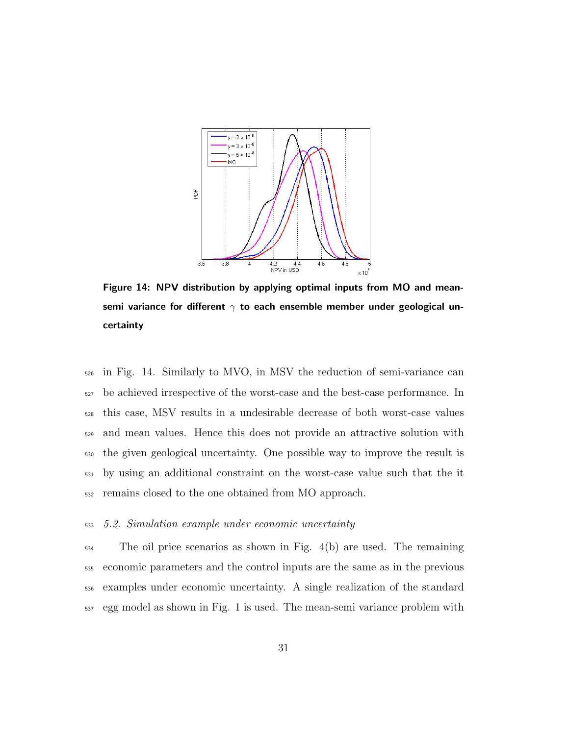

Figure 14: NPV distribution by applying optimal inputs from MO and meansemi variance for different  $\gamma$  to each ensemble member under geological uncertainty

 in Fig. 14. Similarly to MVO, in MSV the reduction of semi-variance can be achieved irrespective of the worst-case and the best-case performance. In this case, MSV results in a undesirable decrease of both worst-case values and mean values. Hence this does not provide an attractive solution with the given geological uncertainty. One possible way to improve the result is by using an additional constraint on the worst-case value such that the it remains closed to the one obtained from MO approach.

#### 5.2. Simulation example under economic uncertainty

 The oil price scenarios as shown in Fig. 4(b) are used. The remaining economic parameters and the control inputs are the same as in the previous examples under economic uncertainty. A single realization of the standard egg model as shown in Fig. 1 is used. The mean-semi variance problem with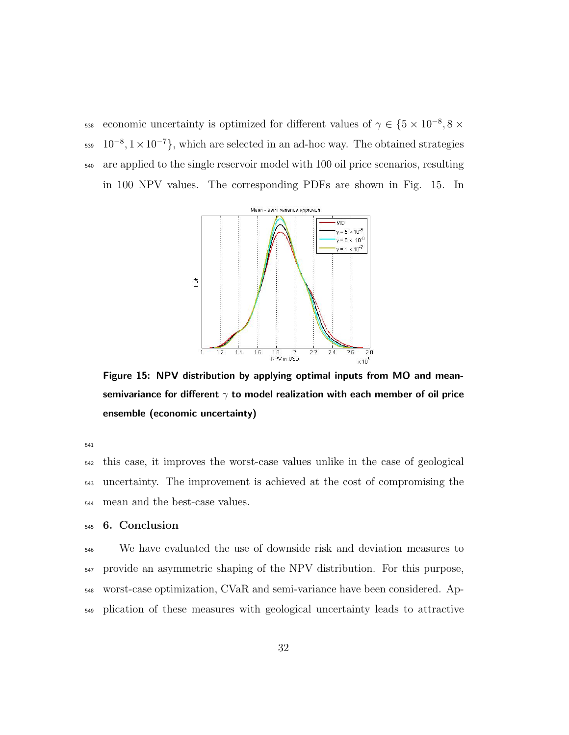638 economic uncertainty is optimized for different values of  $\gamma \in \{5 \times 10^{-8}, 8 \times 10^{-8}\}$  $10^{-8}, 1 \times 10^{-7}$ , which are selected in an ad-hoc way. The obtained strategies are applied to the single reservoir model with 100 oil price scenarios, resulting in 100 NPV values. The corresponding PDFs are shown in Fig. 15. In



Figure 15: NPV distribution by applying optimal inputs from MO and meansemivariance for different  $\gamma$  to model realization with each member of oil price ensemble (economic uncertainty)

 this case, it improves the worst-case values unlike in the case of geological uncertainty. The improvement is achieved at the cost of compromising the mean and the best-case values.

# 6. Conclusion

 We have evaluated the use of downside risk and deviation measures to provide an asymmetric shaping of the NPV distribution. For this purpose, worst-case optimization, CVaR and semi-variance have been considered. Ap-plication of these measures with geological uncertainty leads to attractive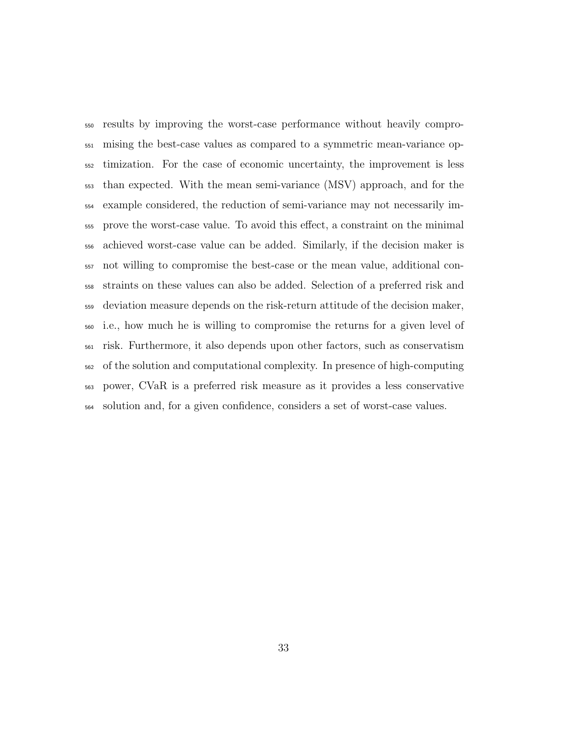results by improving the worst-case performance without heavily compro- mising the best-case values as compared to a symmetric mean-variance op- timization. For the case of economic uncertainty, the improvement is less than expected. With the mean semi-variance (MSV) approach, and for the example considered, the reduction of semi-variance may not necessarily im- prove the worst-case value. To avoid this effect, a constraint on the minimal achieved worst-case value can be added. Similarly, if the decision maker is not willing to compromise the best-case or the mean value, additional con- straints on these values can also be added. Selection of a preferred risk and deviation measure depends on the risk-return attitude of the decision maker, i.e., how much he is willing to compromise the returns for a given level of risk. Furthermore, it also depends upon other factors, such as conservatism of the solution and computational complexity. In presence of high-computing power, CVaR is a preferred risk measure as it provides a less conservative solution and, for a given confidence, considers a set of worst-case values.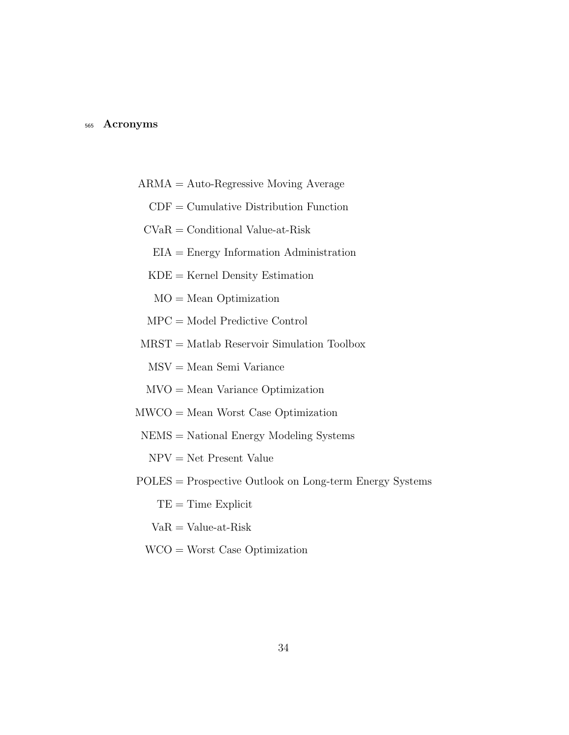#### <sup>565</sup> Acronyms

- ARMA = Auto-Regressive Moving Average
	- $CDF = Cumulative Distribution Function$
- CVaR = Conditional Value-at-Risk
	- EIA = Energy Information Administration
	- $KDE =$ Kernel Density Estimation
	- MO = Mean Optimization
- MPC = Model Predictive Control
- MRST = Matlab Reservoir Simulation Toolbox
	- MSV = Mean Semi Variance
	- MVO = Mean Variance Optimization
- MWCO = Mean Worst Case Optimization
- NEMS = National Energy Modeling Systems
	- $NPV = Net$  Present Value
- POLES = Prospective Outlook on Long-term Energy Systems
	- $TE = Time$  Explicit
	- $VaR = Value-at-Risk$
	- WCO = Worst Case Optimization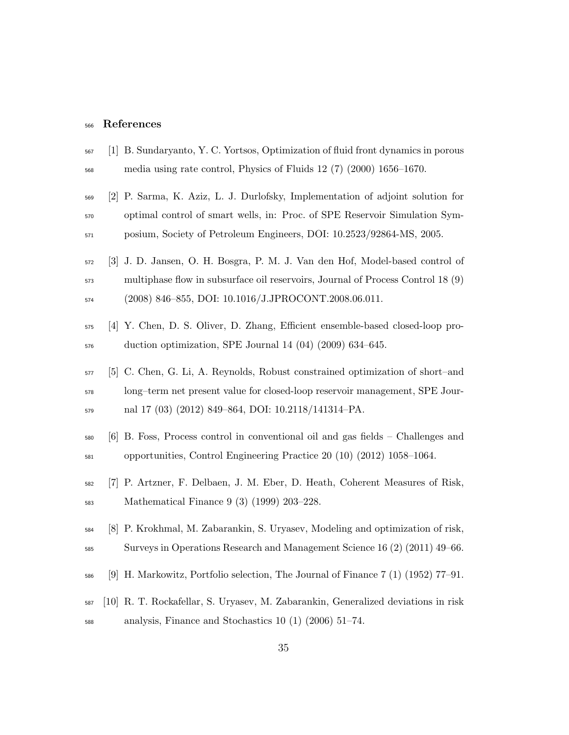#### References

- [1] B. Sundaryanto, Y. C. Yortsos, Optimization of fluid front dynamics in porous media using rate control, Physics of Fluids 12 (7) (2000) 1656–1670.
- [2] P. Sarma, K. Aziz, L. J. Durlofsky, Implementation of adjoint solution for optimal control of smart wells, in: Proc. of SPE Reservoir Simulation Sym-posium, Society of Petroleum Engineers, DOI: 10.2523/92864-MS, 2005.
- [3] J. D. Jansen, O. H. Bosgra, P. M. J. Van den Hof, Model-based control of multiphase flow in subsurface oil reservoirs, Journal of Process Control 18 (9) (2008) 846–855, DOI: 10.1016/J.JPROCONT.2008.06.011.
- [4] Y. Chen, D. S. Oliver, D. Zhang, Efficient ensemble-based closed-loop pro-duction optimization, SPE Journal 14 (04) (2009) 634–645.
- [5] C. Chen, G. Li, A. Reynolds, Robust constrained optimization of short–and long–term net present value for closed-loop reservoir management, SPE Jour-nal 17 (03) (2012) 849–864, DOI: 10.2118/141314–PA.
- [6] B. Foss, Process control in conventional oil and gas fields Challenges and opportunities, Control Engineering Practice 20 (10) (2012) 1058–1064.
- [7] P. Artzner, F. Delbaen, J. M. Eber, D. Heath, Coherent Measures of Risk, Mathematical Finance 9 (3) (1999) 203–228.
- [8] P. Krokhmal, M. Zabarankin, S. Uryasev, Modeling and optimization of risk, Surveys in Operations Research and Management Science 16 (2) (2011) 49–66.
- [9] H. Markowitz, Portfolio selection, The Journal of Finance 7 (1) (1952) 77–91.
- [10] R. T. Rockafellar, S. Uryasev, M. Zabarankin, Generalized deviations in risk analysis, Finance and Stochastics 10 (1) (2006) 51–74.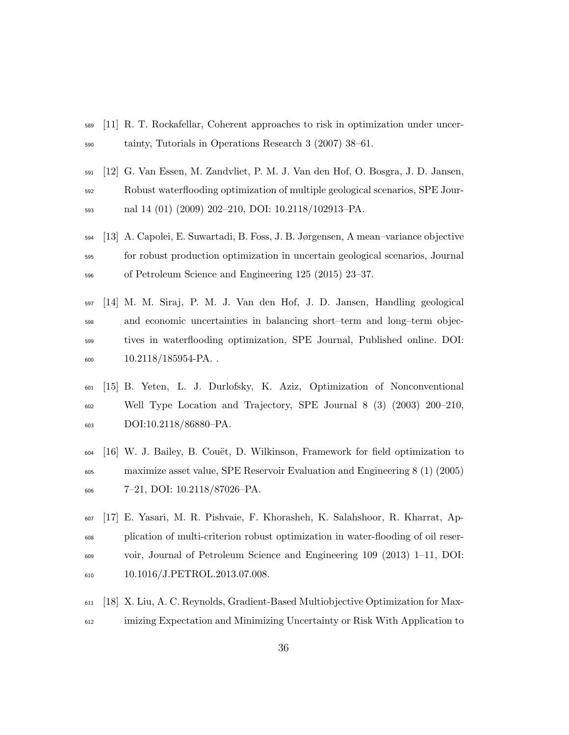- [11] R. T. Rockafellar, Coherent approaches to risk in optimization under uncer-tainty, Tutorials in Operations Research 3 (2007) 38–61.
- [12] G. Van Essen, M. Zandvliet, P. M. J. Van den Hof, O. Bosgra, J. D. Jansen, Robust waterflooding optimization of multiple geological scenarios, SPE Jour-nal 14 (01) (2009) 202–210, DOI: 10.2118/102913–PA.
- [13] A. Capolei, E. Suwartadi, B. Foss, J. B. Jørgensen, A mean–variance objective for robust production optimization in uncertain geological scenarios, Journal of Petroleum Science and Engineering 125 (2015) 23–37.
- [14] M. M. Siraj, P. M. J. Van den Hof, J. D. Jansen, Handling geological and economic uncertainties in balancing short–term and long–term objec- tives in waterflooding optimization, SPE Journal, Published online. DOI: 600 10.2118/185954-PA.
- [15] B. Yeten, L. J. Durlofsky, K. Aziz, Optimization of Nonconventional Well Type Location and Trajectory, SPE Journal 8 (3) (2003) 200–210, DOI:10.2118/86880–PA.
- [16] W. J. Bailey, B. Couët, D. Wilkinson, Framework for field optimization to maximize asset value, SPE Reservoir Evaluation and Engineering 8 (1) (2005) 7–21, DOI: 10.2118/87026–PA.
- [17] E. Yasari, M. R. Pishvaie, F. Khorasheh, K. Salahshoor, R. Kharrat, Ap- plication of multi-criterion robust optimization in water-flooding of oil reser- voir, Journal of Petroleum Science and Engineering 109 (2013) 1–11, DOI: 10.1016/J.PETROL.2013.07.008.
- [18] X. Liu, A. C. Reynolds, Gradient-Based Multiobjective Optimization for Max-imizing Expectation and Minimizing Uncertainty or Risk With Application to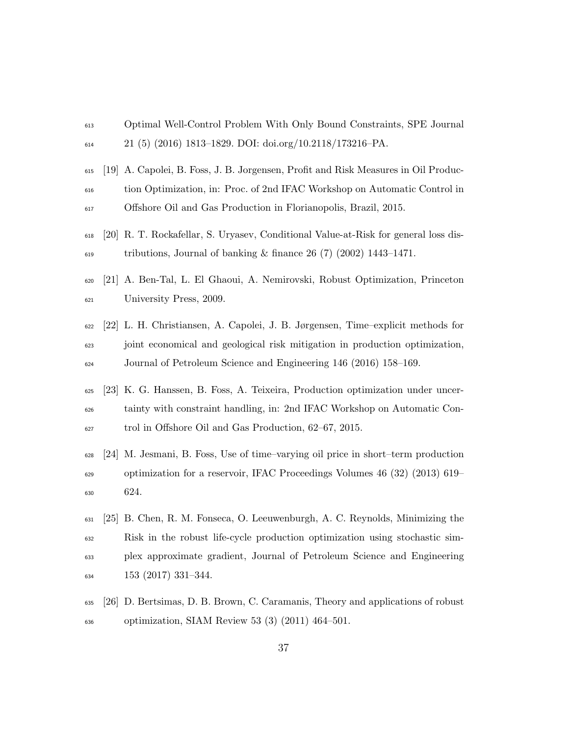- Optimal Well-Control Problem With Only Bound Constraints, SPE Journal 21 (5) (2016) 1813–1829. DOI: doi.org/10.2118/173216–PA.
- [19] A. Capolei, B. Foss, J. B. Jorgensen, Profit and Risk Measures in Oil Produc- tion Optimization, in: Proc. of 2nd IFAC Workshop on Automatic Control in Offshore Oil and Gas Production in Florianopolis, Brazil, 2015.
- [20] R. T. Rockafellar, S. Uryasev, Conditional Value-at-Risk for general loss dis- $\mu$ <sub>619</sub> tributions, Journal of banking & finance 26 (7) (2002) 1443–1471.
- [21] A. Ben-Tal, L. El Ghaoui, A. Nemirovski, Robust Optimization, Princeton University Press, 2009.
- [22] L. H. Christiansen, A. Capolei, J. B. Jørgensen, Time–explicit methods for joint economical and geological risk mitigation in production optimization, Journal of Petroleum Science and Engineering 146 (2016) 158–169.
- [23] K. G. Hanssen, B. Foss, A. Teixeira, Production optimization under uncer- tainty with constraint handling, in: 2nd IFAC Workshop on Automatic Con-trol in Offshore Oil and Gas Production, 62–67, 2015.
- [24] M. Jesmani, B. Foss, Use of time–varying oil price in short–term production optimization for a reservoir, IFAC Proceedings Volumes 46 (32) (2013) 619– 624.
- [25] B. Chen, R. M. Fonseca, O. Leeuwenburgh, A. C. Reynolds, Minimizing the Risk in the robust life-cycle production optimization using stochastic sim- plex approximate gradient, Journal of Petroleum Science and Engineering  $\frac{634}{153}$  (2017) 331-344.
- [26] D. Bertsimas, D. B. Brown, C. Caramanis, Theory and applications of robust optimization, SIAM Review 53 (3) (2011) 464–501.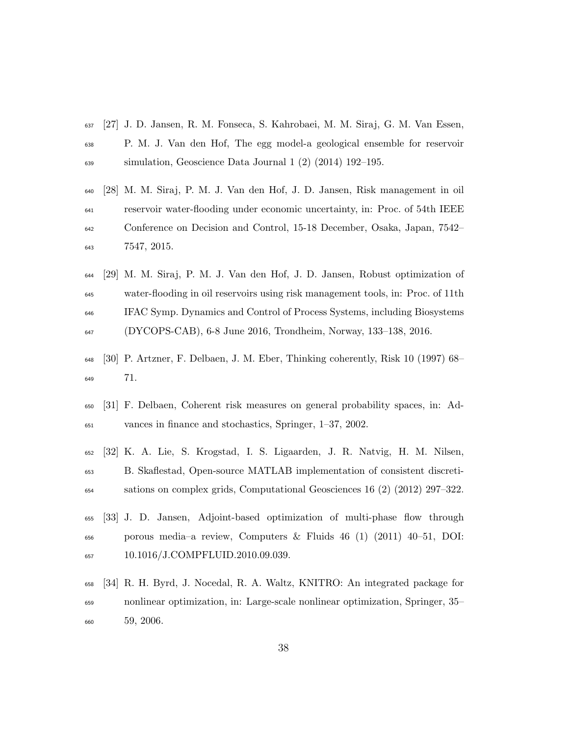- [27] J. D. Jansen, R. M. Fonseca, S. Kahrobaei, M. M. Siraj, G. M. Van Essen, P. M. J. Van den Hof, The egg model-a geological ensemble for reservoir simulation, Geoscience Data Journal 1 (2) (2014) 192–195.
- [28] M. M. Siraj, P. M. J. Van den Hof, J. D. Jansen, Risk management in oil reservoir water-flooding under economic uncertainty, in: Proc. of 54th IEEE Conference on Decision and Control, 15-18 December, Osaka, Japan, 7542– 7547, 2015.
- [29] M. M. Siraj, P. M. J. Van den Hof, J. D. Jansen, Robust optimization of water-flooding in oil reservoirs using risk management tools, in: Proc. of 11th IFAC Symp. Dynamics and Control of Process Systems, including Biosystems (DYCOPS-CAB), 6-8 June 2016, Trondheim, Norway, 133–138, 2016.
- [30] P. Artzner, F. Delbaen, J. M. Eber, Thinking coherently, Risk 10 (1997) 68– 71.
- [31] F. Delbaen, Coherent risk measures on general probability spaces, in: Ad-vances in finance and stochastics, Springer, 1–37, 2002.
- [32] K. A. Lie, S. Krogstad, I. S. Ligaarden, J. R. Natvig, H. M. Nilsen, B. Skaflestad, Open-source MATLAB implementation of consistent discreti-sations on complex grids, Computational Geosciences 16 (2) (2012) 297–322.
- [33] J. D. Jansen, Adjoint-based optimization of multi-phase flow through  $\epsilon_{66}$  porous media–a review, Computers & Fluids 46 (1) (2011) 40–51, DOI: 10.1016/J.COMPFLUID.2010.09.039.
- [34] R. H. Byrd, J. Nocedal, R. A. Waltz, KNITRO: An integrated package for nonlinear optimization, in: Large-scale nonlinear optimization, Springer, 35– 59, 2006.